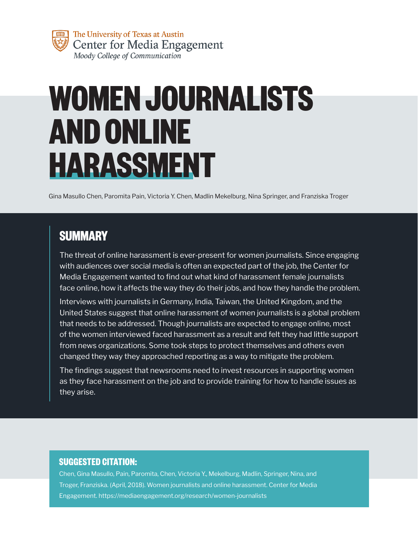

# **WOMEN JOURNALISTS AND ONLINE HARASSMENT**

Gina Masullo Chen, Paromita Pain, Victoria Y. Chen, Madlin Mekelburg, Nina Springer, and Franziska Troger

## **SUMMARY**

The threat of online harassment is ever-present for women journalists. Since engaging with audiences over social media is often an expected part of the job, the Center for Media Engagement wanted to find out what kind of harassment female journalists face online, how it affects the way they do their jobs, and how they handle the problem.

Interviews with journalists in Germany, India, Taiwan, the United Kingdom, and the United States suggest that online harassment of women journalists is a global problem that needs to be addressed. Though journalists are expected to engage online, most of the women interviewed faced harassment as a result and felt they had little support from news organizations. Some took steps to protect themselves and others even changed they way they approached reporting as a way to mitigate the problem.

The findings suggest that newsrooms need to invest resources in supporting women as they face harassment on the job and to provide training for how to handle issues as they arise.

#### **SUGGESTED CITATION:**

Chen, Gina Masullo, Pain, Paromita, Chen, Victoria Y., Mekelburg, Madlin, Springer, Nina, and Troger, Franziska. (April, 2018). Women journalists and online harassment. Center for Media Engagement. https://mediaengagement.org/research/women-journalists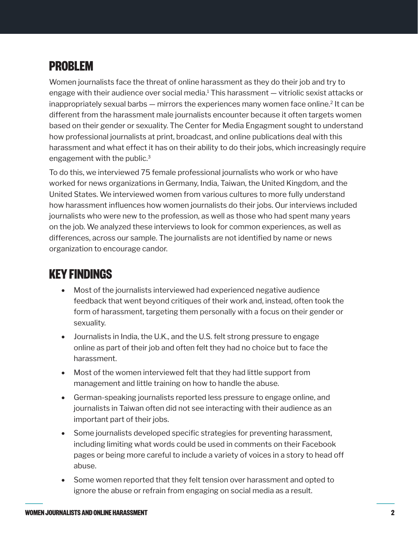## <span id="page-1-0"></span>**PROBLEM**

Women journalists face the threat of online harassment as they do their job and try to engage with their audience over social media[.1](#page-7-0) This harassment — vitriolic sexist attacks or inappropriately sexual barbs  $-$  mirrors the experiences many women face online.<sup>2</sup> It can be different from the harassment male journalists encounter because it often targets women based on their gender or sexuality. The Center for Media Engagment sought to understand how professional journalists at print, broadcast, and online publications deal with this harassment and what effect it has on their ability to do their jobs, which increasingly require engagement with the public.[3](#page-7-0)

To do this, we interviewed 75 female professional journalists who work or who have worked for news organizations in Germany, India, Taiwan, the United Kingdom, and the United States. We interviewed women from various cultures to more fully understand how harassment influences how women journalists do their jobs. Our interviews included journalists who were new to the profession, as well as those who had spent many years on the job. We analyzed these interviews to look for common experiences, as well as differences, across our sample. The journalists are not identified by name or news organization to encourage candor.

## **KEY FINDINGS**

- Most of the journalists interviewed had experienced negative audience feedback that went beyond critiques of their work and, instead, often took the form of harassment, targeting them personally with a focus on their gender or sexuality.
- Journalists in India, the U.K., and the U.S. felt strong pressure to engage online as part of their job and often felt they had no choice but to face the harassment.
- Most of the women interviewed felt that they had little support from management and little training on how to handle the abuse.
- German-speaking journalists reported less pressure to engage online, and journalists in Taiwan often did not see interacting with their audience as an important part of their jobs.
- Some journalists developed specific strategies for preventing harassment, including limiting what words could be used in comments on their Facebook pages or being more careful to include a variety of voices in a story to head off abuse.
- Some women reported that they felt tension over harassment and opted to ignore the abuse or refrain from engaging on social media as a result.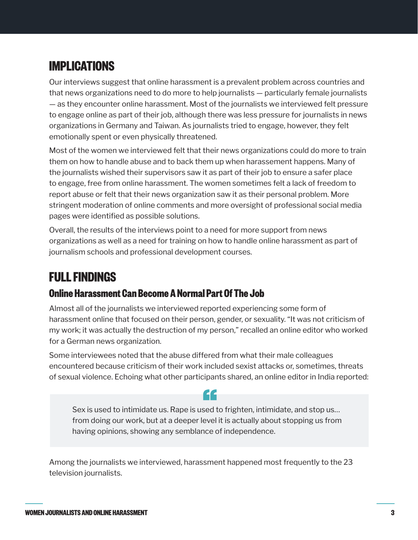# **IMPLICATIONS**

Our interviews suggest that online harassment is a prevalent problem across countries and that news organizations need to do more to help journalists — particularly female journalists — as they encounter online harassment. Most of the journalists we interviewed felt pressure to engage online as part of their job, although there was less pressure for journalists in news organizations in Germany and Taiwan. As journalists tried to engage, however, they felt emotionally spent or even physically threatened.

Most of the women we interviewed felt that their news organizations could do more to train them on how to handle abuse and to back them up when harassement happens. Many of the journalists wished their supervisors saw it as part of their job to ensure a safer place to engage, free from online harassment. The women sometimes felt a lack of freedom to report abuse or felt that their news organization saw it as their personal problem. More stringent moderation of online comments and more oversight of professional social media pages were identified as possible solutions.

Overall, the results of the interviews point to a need for more support from news organizations as well as a need for training on how to handle online harassment as part of journalism schools and professional development courses.

## **FULL FINDINGS**

### **Online Harassment Can Become A Normal Part Of The Job**

Almost all of the journalists we interviewed reported experiencing some form of harassment online that focused on their person, gender, or sexuality. "It was not criticism of my work; it was actually the destruction of my person," recalled an online editor who worked for a German news organization.

Some interviewees noted that the abuse differed from what their male colleagues encountered because criticism of their work included sexist attacks or, sometimes, threats of sexual violence. Echoing what other participants shared, an online editor in India reported:

44

Sex is used to intimidate us. Rape is used to frighten, intimidate, and stop us… from doing our work, but at a deeper level it is actually about stopping us from having opinions, showing any semblance of independence.

Among the journalists we interviewed, harassment happened most frequently to the 23 television journalists.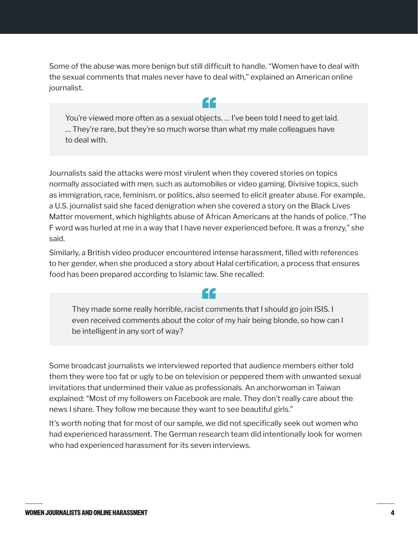Some of the abuse was more benign but still difficult to handle. "Women have to deal with the sexual comments that males never have to deal with," explained an American online journalist.

44

You're viewed more often as a sexual objects. … I've been told I need to get laid. … They're rare, but they're so much worse than what my male colleagues have to deal with.

Journalists said the attacks were most virulent when they covered stories on topics normally associated with men, such as automobiles or video gaming. Divisive topics, such as immigration, race, feminism, or politics, also seemed to elicit greater abuse. For example, a U.S. journalist said she faced denigration when she covered a story on the Black Lives Matter movement, which highlights abuse of African Americans at the hands of police. "The F word was hurled at me in a way that I have never experienced before. It was a frenzy," she said.

Similarly, a British video producer encountered intense harassment, filled with references to her gender, when she produced a story about Halal certification, a process that ensures food has been prepared according to Islamic law. She recalled:

They made some really horrible, racist comments that I should go join ISIS. I even received comments about the color of my hair being blonde, so how can I be intelligent in any sort of way?

66

Some broadcast journalists we interviewed reported that audience members either told them they were too fat or ugly to be on television or peppered them with unwanted sexual invitations that undermined their value as professionals. An anchorwoman in Taiwan explained: "Most of my followers on Facebook are male. They don't really care about the news I share. They follow me because they want to see beautiful girls."

It's worth noting that for most of our sample, we did not specifically seek out women who had experienced harassment. The German research team did intentionally look for women who had experienced harassment for its seven interviews.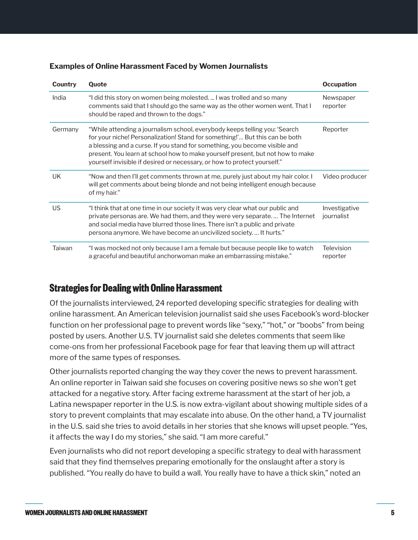| Country   | Quote                                                                                                                                                                                                                                                                                                                                                                                                 | <b>Occupation</b>           |
|-----------|-------------------------------------------------------------------------------------------------------------------------------------------------------------------------------------------------------------------------------------------------------------------------------------------------------------------------------------------------------------------------------------------------------|-----------------------------|
| India     | "I did this story on women being molested.  I was trolled and so many<br>comments said that I should go the same way as the other women went. That I<br>should be raped and thrown to the dogs."                                                                                                                                                                                                      | Newspaper<br>reporter       |
| Germany   | "While attending a journalism school, everybody keeps telling you: 'Search<br>for your niche! Personalization! Stand for something!' But this can be both<br>a blessing and a curse. If you stand for something, you become visible and<br>present. You learn at school how to make yourself present, but not how to make<br>yourself invisible if desired or necessary, or how to protect yourself." | Reporter                    |
| UK        | "Now and then I'll get comments thrown at me, purely just about my hair color. I<br>will get comments about being blonde and not being intelligent enough because<br>of my hair."                                                                                                                                                                                                                     | Video producer              |
| <b>US</b> | "I think that at one time in our society it was very clear what our public and<br>private personas are. We had them, and they were very separate The Internet<br>and social media have blurred those lines. There isn't a public and private<br>persona anymore. We have become an uncivilized society It hurts."                                                                                     | Investigative<br>journalist |
| Taiwan    | "I was mocked not only because I am a female but because people like to watch<br>a graceful and beautiful anchorwoman make an embarrassing mistake."                                                                                                                                                                                                                                                  | Television<br>reporter      |

#### **Examples of Online Harassment Faced by Women Journalists**

#### **Strategies for Dealing with Online Harassment**

Of the journalists interviewed, 24 reported developing specific strategies for dealing with online harassment. An American television journalist said she uses Facebook's word-blocker function on her professional page to prevent words like "sexy," "hot," or "boobs" from being posted by users. Another U.S. TV journalist said she deletes comments that seem like come-ons from her professional Facebook page for fear that leaving them up will attract more of the same types of responses.

Other journalists reported changing the way they cover the news to prevent harassment. An online reporter in Taiwan said she focuses on covering positive news so she won't get attacked for a negative story. After facing extreme harassment at the start of her job, a Latina newspaper reporter in the U.S. is now extra-vigilant about showing multiple sides of a story to prevent complaints that may escalate into abuse. On the other hand, a TV journalist in the U.S. said she tries to avoid details in her stories that she knows will upset people. "Yes, it affects the way I do my stories," she said. "I am more careful."

Even journalists who did not report developing a specific strategy to deal with harassment said that they find themselves preparing emotionally for the onslaught after a story is published. "You really do have to build a wall. You really have to have a thick skin," noted an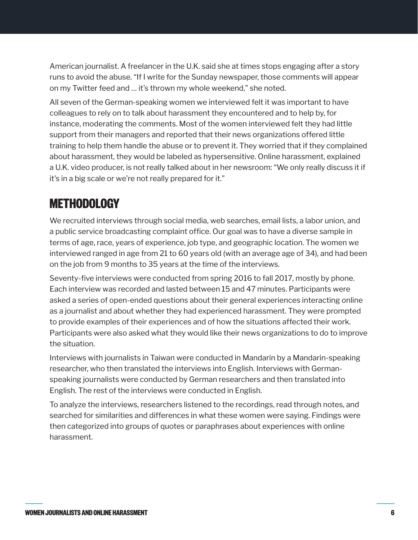American journalist. A freelancer in the U.K. said she at times stops engaging after a story runs to avoid the abuse. "If I write for the Sunday newspaper, those comments will appear on my Twitter feed and … it's thrown my whole weekend," she noted.

All seven of the German-speaking women we interviewed felt it was important to have colleagues to rely on to talk about harassment they encountered and to help by, for instance, moderating the comments. Most of the women interviewed felt they had little support from their managers and reported that their news organizations offered little training to help them handle the abuse or to prevent it. They worried that if they complained about harassment, they would be labeled as hypersensitive. Online harassment, explained a U.K. video producer, is not really talked about in her newsroom: "We only really discuss it if it's in a big scale or we're not really prepared for it."

## **METHODOLOGY**

We recruited interviews through social media, web searches, email lists, a labor union, and a public service broadcasting complaint office. Our goal was to have a diverse sample in terms of age, race, years of experience, job type, and geographic location. The women we interviewed ranged in age from 21 to 60 years old (with an average age of 34), and had been on the job from 9 months to 35 years at the time of the interviews.

Seventy-five interviews were conducted from spring 2016 to fall 2017, mostly by phone. Each interview was recorded and lasted between 15 and 47 minutes. Participants were asked a series of open-ended questions about their general experiences interacting online as a journalist and about whether they had experienced harassment. They were prompted to provide examples of their experiences and of how the situations affected their work. Participants were also asked what they would like their news organizations to do to improve the situation.

Interviews with journalists in Taiwan were conducted in Mandarin by a Mandarin-speaking researcher, who then translated the interviews into English. Interviews with Germanspeaking journalists were conducted by German researchers and then translated into English. The rest of the interviews were conducted in English.

To analyze the interviews, researchers listened to the recordings, read through notes, and searched for similarities and differences in what these women were saying. Findings were then categorized into groups of quotes or paraphrases about experiences with online harassment.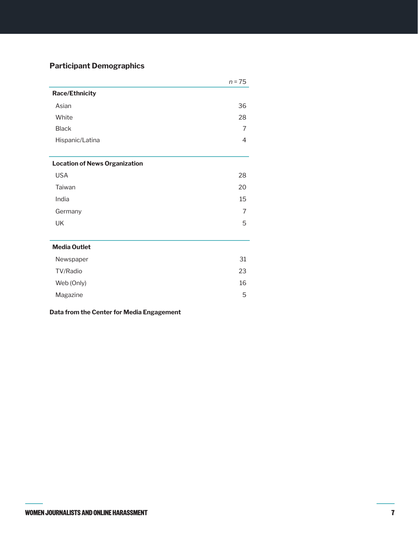#### **Participant Demographics**

|                                      | $n = 75$ |
|--------------------------------------|----------|
| <b>Race/Ethnicity</b>                |          |
| Asian                                | 36       |
| White                                | 28       |
| <b>Black</b>                         | 7        |
| Hispanic/Latina                      | 4        |
| <b>Location of News Organization</b> |          |
| <b>USA</b>                           | 28       |
| Taiwan                               | 20       |
| India                                | 15       |
| Germany                              | 7        |
| UK                                   | 5        |
|                                      |          |
| <b>Media Outlet</b>                  |          |
| Newspaper                            | 31       |
| TV/Radio                             | 23       |
| Web (Only)                           | 16       |
| Magazine                             | 5        |

**Data from the Center for Media Engagement**